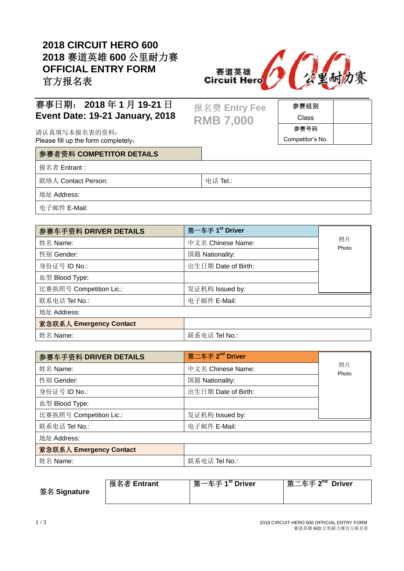### **2018 CIRCUIT HERO 600 2018** 赛道英雄 **600** 公里耐力赛 **OFFICIAL ENTRY FORM**  官方报名表



参赛组别 Class 参赛号码 Competitor's No.

### 赛事日期: **2018** 年 **1** 月 **19-21** 日 **Event Date: 19-21 January, 2018**

请认真填写本报名表的资料: Please fill up the form completely:

#### 参赛者资料 **COMPETITOR DETAILS**

报名者 Entrant :

联络人 Contact Person: <br>
■ 电话 Tel.:

报名费 **Entry Fee** 

**RMB 7,000** 

地址 Address:

电子邮件 E-Mail:

| 参赛车手资料 DRIVER DETAILS   | 第一车手 1 <sup>st</sup> Driver |             |
|-------------------------|-----------------------------|-------------|
| 姓名 Name:                | 中文名 Chinese Name:           | 照片<br>Photo |
| 性别 Gender:              | 国籍 Nationality:             |             |
| 身份证号 ID No.:            | 出生日期 Date of Birth:         |             |
| 血型 Blood Type:          |                             |             |
| 比赛执照号 Competition Lic.: | 发证机构 Issued by:             |             |
| 联系电话 Tel No.:           | 电子邮件 E-Mail:                |             |
| 地址 Address:             |                             |             |
| 紧急联系人 Emergency Contact |                             |             |
| 姓名 Name:                | 联系电话 Tel No.:               |             |

| 参赛车手资料 DRIVER DETAILS   | 第二车手 2 <sup>nd</sup> Driver |             |  |  |
|-------------------------|-----------------------------|-------------|--|--|
| 姓名 Name:                | 中文名 Chinese Name:           | 照片<br>Photo |  |  |
| 性别 Gender:              | 国籍 Nationality:             |             |  |  |
| 身份证号 ID No.:            | 出生日期 Date of Birth:         |             |  |  |
| 血型 Blood Type:          |                             |             |  |  |
| 比赛执照号 Competition Lic.: | 发证机构 Issued by:             |             |  |  |
| 联系电话 Tel No.:           | 电子邮件 E-Mail:                |             |  |  |
| 地址 Address:             |                             |             |  |  |
| 紧急联系人 Emergency Contact |                             |             |  |  |
|                         |                             |             |  |  |

|--|

| 签名 Signature | 报名者 Entrant | 第一车手 1 <sup>st</sup> Driver | 第二车手 2 <sup>nd</sup> Driver |
|--------------|-------------|-----------------------------|-----------------------------|
|              |             |                             |                             |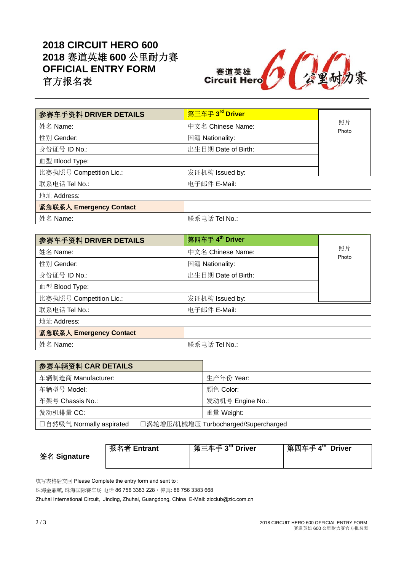## **2018 CIRCUIT HERO 600 2018** 赛道英雄 **600** 公里耐力赛 **OFFICIAL ENTRY FORM**  官方报名表



| 参赛车手资料 DRIVER DETAILS   | 第三车手 3 <sup>rd</sup> Driver |             |
|-------------------------|-----------------------------|-------------|
|                         |                             |             |
| 姓名 Name:                | 中文名 Chinese Name:           | 照片<br>Photo |
| 性别 Gender:              | 国籍 Nationality:             |             |
| 身份证号 ID No.:            | 出生日期 Date of Birth:         |             |
| 血型 Blood Type:          |                             |             |
| 比赛执照号 Competition Lic.: | 发证机构 Issued by:             |             |
| 联系电话 Tel No.:           | 电子邮件 E-Mail:                |             |
| 地址 Address:             |                             |             |
| 紧急联系人 Emergency Contact |                             |             |
| 姓名 Name:                | 联系电话 Tel No.:               |             |

| 参赛车手资料 DRIVER DETAILS   | 第四车手 4 <sup>th</sup> Driver |             |
|-------------------------|-----------------------------|-------------|
| 姓名 Name:                | 中文名 Chinese Name:           | 照片<br>Photo |
| 性别 Gender:              | 国籍 Nationality:             |             |
| 身份证号 ID No.:            | 出生日期 Date of Birth:         |             |
| 血型 Blood Type:          |                             |             |
| 比赛执照号 Competition Lic.: | 发证机构 Issued by:             |             |
| 联系电话 Tel No.:           | 电子邮件 E-Mail:                |             |
| 地址 Address:             |                             |             |
| 紧急联系人 Emergency Contact |                             |             |
| 姓名 Name:                | 联系电话 Tel No.:               |             |

| 参赛车辆资料 CAR DETAILS       |                                      |  |
|--------------------------|--------------------------------------|--|
| 车辆制造商 Manufacturer:      | 生产年份 Year:                           |  |
| 车辆型号 Model:              | 颜色 Color:                            |  |
| 车架号 Chassis No.:         | 发动机号 Engine No.:                     |  |
| 发动机排量 CC:                | 重量 Weight:                           |  |
| □自然吸气 Normally aspirated | □涡轮增压/机械增压 Turbocharged/Supercharged |  |

|              | 报名者 Entrant | ˈ 第三车手 3 <sup>rd</sup> Driver | 第四车手 4 <sup>th</sup> Driver |
|--------------|-------------|-------------------------------|-----------------------------|
| 签名 Signature |             |                               |                             |

填写表格后交回 Please Complete the entry form and sent to:

珠海金鼎镇, 珠海国际赛车场 电话 86 756 3383 228, 传真: 86 756 3383 668

Zhuhai International Circuit, Jinding, Zhuhai, Guangdong, China E-Mail: zicclub@zic.com.cn